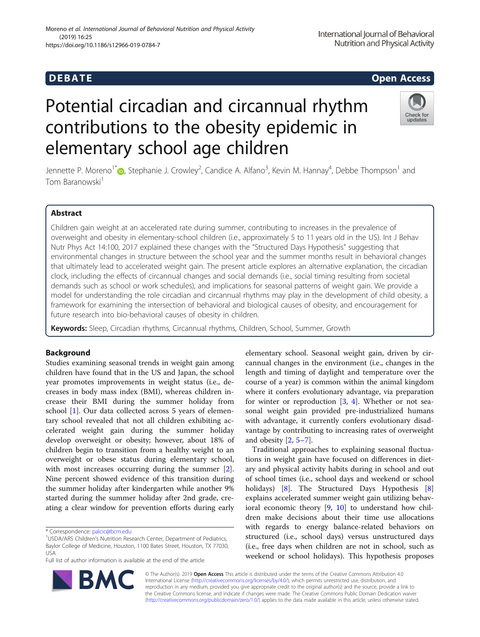# Potential circadian and circannual rhythm contributions to the obesity epidemic in elementary school age children

Jennette P. Moreno<sup>1</sup>[\\*](http://orcid.org/0000-0002-9372-6104)®, Stephanie J. Crowley<sup>2</sup>, Candice A. Alfano<sup>3</sup>, Kevin M. Hannay<sup>4</sup>, Debbe Thompson<sup>1</sup> and Tom Baranowski<sup>1</sup>

# Abstract

Children gain weight at an accelerated rate during summer, contributing to increases in the prevalence of overweight and obesity in elementary-school children (i.e., approximately 5 to 11 years old in the US). Int J Behav Nutr Phys Act 14:100, 2017 explained these changes with the "Structured Days Hypothesis" suggesting that environmental changes in structure between the school year and the summer months result in behavioral changes that ultimately lead to accelerated weight gain. The present article explores an alternative explanation, the circadian clock, including the effects of circannual changes and social demands (i.e., social timing resulting from societal demands such as school or work schedules), and implications for seasonal patterns of weight gain. We provide a model for understanding the role circadian and circannual rhythms may play in the development of child obesity, a framework for examining the intersection of behavioral and biological causes of obesity, and encouragement for future research into bio-behavioral causes of obesity in children.

Keywords: Sleep, Circadian rhythms, Circannual rhythms, Children, School, Summer, Growth

# Background

Studies examining seasonal trends in weight gain among children have found that in the US and Japan, the school year promotes improvements in weight status (i.e., decreases in body mass index (BMI), whereas children increase their BMI during the summer holiday from school [[1\]](#page-7-0). Our data collected across 5 years of elementary school revealed that not all children exhibiting accelerated weight gain during the summer holiday develop overweight or obesity; however, about 18% of children begin to transition from a healthy weight to an overweight or obese status during elementary school, with most increases occurring during the summer [\[2](#page-7-0)]. Nine percent showed evidence of this transition during the summer holiday after kindergarten while another 9% started during the summer holiday after 2nd grade, creating a clear window for prevention efforts during early

\* Correspondence: [palcic@bcm.edu](mailto:palcic@bcm.edu) <sup>1</sup>

Full list of author information is available at the end of the article

elementary school. Seasonal weight gain, driven by circannual changes in the environment (i.e., changes in the length and timing of daylight and temperature over the course of a year) is common within the animal kingdom where it confers evolutionary advantage, via preparation for winter or reproduction [[3,](#page-7-0) [4](#page-7-0)]. Whether or not seasonal weight gain provided pre-industrialized humans with advantage, it currently confers evolutionary disadvantage by contributing to increasing rates of overweight and obesity  $[2, 5-7]$  $[2, 5-7]$  $[2, 5-7]$  $[2, 5-7]$  $[2, 5-7]$  $[2, 5-7]$ .

Traditional approaches to explaining seasonal fluctuations in weight gain have focused on differences in dietary and physical activity habits during in school and out of school times (i.e., school days and weekend or school holidays) [\[8](#page-7-0)]. The Structured Days Hypothesis [8] explains accelerated summer weight gain utilizing behavioral economic theory [[9,](#page-7-0) [10](#page-7-0)] to understand how children make decisions about their time use allocations with regards to energy balance-related behaviors on structured (i.e., school days) versus unstructured days (i.e., free days when children are not in school, such as weekend or school holidays). This hypothesis proposes

© The Author(s). 2019 Open Access This article is distributed under the terms of the Creative Commons Attribution 4.0 International License [\(http://creativecommons.org/licenses/by/4.0/](http://creativecommons.org/licenses/by/4.0/)), which permits unrestricted use, distribution, and reproduction in any medium, provided you give appropriate credit to the original author(s) and the source, provide a link to the Creative Commons license, and indicate if changes were made. The Creative Commons Public Domain Dedication waiver [\(http://creativecommons.org/publicdomain/zero/1.0/](http://creativecommons.org/publicdomain/zero/1.0/)) applies to the data made available in this article, unless otherwise stated.







USDA/ARS Children's Nutrition Research Center, Department of Pediatrics, Baylor College of Medicine, Houston, 1100 Bates Street, Houston, TX 77030, USA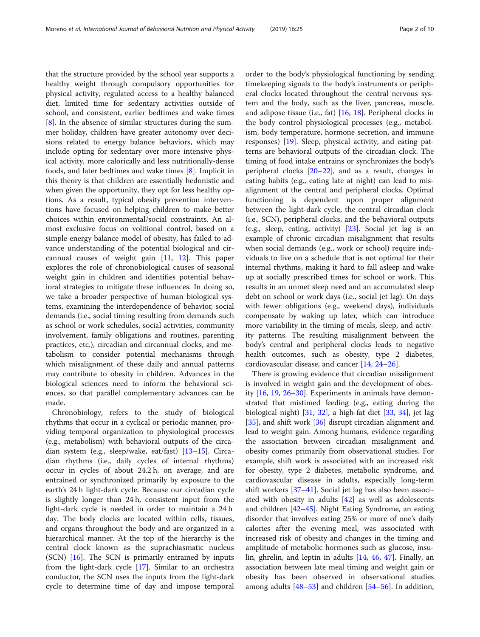that the structure provided by the school year supports a healthy weight through compulsory opportunities for physical activity, regulated access to a healthy balanced diet, limited time for sedentary activities outside of school, and consistent, earlier bedtimes and wake times [[8\]](#page-7-0). In the absence of similar structures during the summer holiday, children have greater autonomy over decisions related to energy balance behaviors, which may include opting for sedentary over more intensive physical activity, more calorically and less nutritionally-dense foods, and later bedtimes and wake times [\[8](#page-7-0)]. Implicit in this theory is that children are essentially hedonistic and when given the opportunity, they opt for less healthy options. As a result, typical obesity prevention interventions have focused on helping children to make better choices within environmental/social constraints. An almost exclusive focus on volitional control, based on a simple energy balance model of obesity, has failed to advance understanding of the potential biological and circannual causes of weight gain [[11,](#page-7-0) [12](#page-7-0)]. This paper explores the role of chronobiological causes of seasonal weight gain in children and identifies potential behavioral strategies to mitigate these influences. In doing so, we take a broader perspective of human biological systems, examining the interdependence of behavior, social demands (i.e., social timing resulting from demands such as school or work schedules, social activities, community involvement, family obligations and routines, parenting practices, etc.), circadian and circannual clocks, and metabolism to consider potential mechanisms through which misalignment of these daily and annual patterns may contribute to obesity in children. Advances in the biological sciences need to inform the behavioral sciences, so that parallel complementary advances can be made.

Chronobiology, refers to the study of biological rhythms that occur in a cyclical or periodic manner, providing temporal organization to physiological processes (e.g., metabolism) with behavioral outputs of the circadian system (e.g., sleep/wake, eat/fast) [\[13](#page-7-0)–[15\]](#page-7-0). Circadian rhythms (i.e., daily cycles of internal rhythms) occur in cycles of about 24.2 h, on average, and are entrained or synchronized primarily by exposure to the earth's 24 h light-dark cycle. Because our circadian cycle is slightly longer than 24 h, consistent input from the light-dark cycle is needed in order to maintain a 24 h day. The body clocks are located within cells, tissues, and organs throughout the body and are organized in a hierarchical manner. At the top of the hierarchy is the central clock known as the suprachiasmatic nucleus (SCN) [\[16\]](#page-7-0). The SCN is primarily entrained by inputs from the light-dark cycle [\[17](#page-7-0)]. Similar to an orchestra conductor, the SCN uses the inputs from the light-dark cycle to determine time of day and impose temporal

order to the body's physiological functioning by sending timekeeping signals to the body's instruments or peripheral clocks located throughout the central nervous system and the body, such as the liver, pancreas, muscle, and adipose tissue (i.e., fat) [\[16](#page-7-0), [18](#page-7-0)]. Peripheral clocks in the body control physiological processes (e.g., metabolism, body temperature, hormone secretion, and immune responses) [[19\]](#page-7-0). Sleep, physical activity, and eating patterns are behavioral outputs of the circadian clock. The timing of food intake entrains or synchronizes the body's peripheral clocks [[20](#page-7-0)–[22](#page-7-0)], and as a result, changes in eating habits (e.g., eating late at night) can lead to misalignment of the central and peripheral clocks. Optimal functioning is dependent upon proper alignment between the light-dark cycle, the central circadian clock (i.e., SCN), peripheral clocks, and the behavioral outputs (e.g., sleep, eating, activity) [\[23\]](#page-7-0). Social jet lag is an example of chronic circadian misalignment that results when social demands (e.g., work or school) require individuals to live on a schedule that is not optimal for their internal rhythms, making it hard to fall asleep and wake up at socially prescribed times for school or work. This results in an unmet sleep need and an accumulated sleep debt on school or work days (i.e., social jet lag). On days with fewer obligations (e.g., weekend days), individuals compensate by waking up later, which can introduce more variability in the timing of meals, sleep, and activity patterns. The resulting misalignment between the body's central and peripheral clocks leads to negative health outcomes, such as obesity, type 2 diabetes, cardiovascular disease, and cancer [[14](#page-7-0), [24](#page-7-0)–[26](#page-7-0)].

There is growing evidence that circadian misalignment is involved in weight gain and the development of obesity [\[16,](#page-7-0) [19](#page-7-0), [26](#page-7-0)–[30\]](#page-7-0). Experiments in animals have demonstrated that mistimed feeding (e.g., eating during the biological night) [[31](#page-7-0), [32](#page-7-0)], a high-fat diet [[33,](#page-7-0) [34](#page-7-0)], jet lag [[35\]](#page-7-0), and shift work [[36](#page-7-0)] disrupt circadian alignment and lead to weight gain. Among humans, evidence regarding the association between circadian misalignment and obesity comes primarily from observational studies. For example, shift work is associated with an increased risk for obesity, type 2 diabetes, metabolic syndrome, and cardiovascular disease in adults, especially long-term shift workers [\[37](#page-7-0)–[41\]](#page-7-0). Social jet lag has also been associated with obesity in adults [\[42](#page-7-0)] as well as adolescents and children [\[42](#page-7-0)–[45\]](#page-7-0). Night Eating Syndrome, an eating disorder that involves eating 25% or more of one's daily calories after the evening meal, was associated with increased risk of obesity and changes in the timing and amplitude of metabolic hormones such as glucose, insulin, ghrelin, and leptin in adults [\[14](#page-7-0), [46,](#page-7-0) [47\]](#page-7-0). Finally, an association between late meal timing and weight gain or obesity has been observed in observational studies among adults [[48](#page-7-0)–[53](#page-8-0)] and children [[54](#page-8-0)–[56](#page-8-0)]. In addition,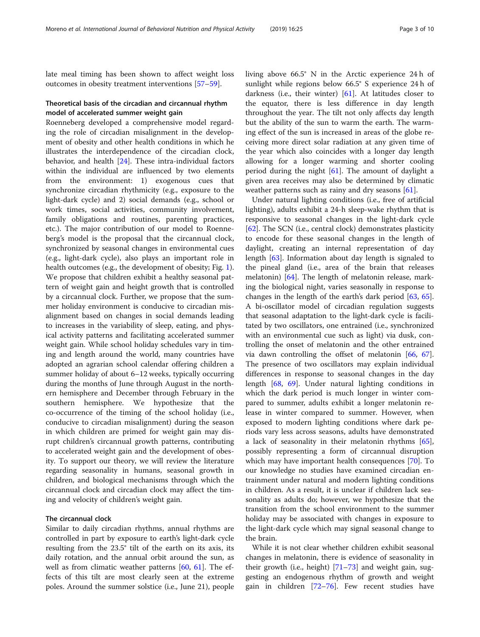late meal timing has been shown to affect weight loss outcomes in obesity treatment interventions [\[57](#page-8-0)–[59\]](#page-8-0).

# Theoretical basis of the circadian and circannual rhythm model of accelerated summer weight gain

Roenneberg developed a comprehensive model regarding the role of circadian misalignment in the development of obesity and other health conditions in which he illustrates the interdependence of the circadian clock, behavior, and health [[24](#page-7-0)]. These intra-individual factors within the individual are influenced by two elements from the environment: 1) exogenous cues that synchronize circadian rhythmicity (e.g., exposure to the light-dark cycle) and 2) social demands (e.g., school or work times, social activities, community involvement, family obligations and routines, parenting practices, etc.). The major contribution of our model to Roenneberg's model is the proposal that the circannual clock, synchronized by seasonal changes in environmental cues (e.g., light-dark cycle), also plays an important role in health outcomes (e.g., the development of obesity; Fig. [1](#page-3-0)). We propose that children exhibit a healthy seasonal pattern of weight gain and height growth that is controlled by a circannual clock. Further, we propose that the summer holiday environment is conducive to circadian misalignment based on changes in social demands leading to increases in the variability of sleep, eating, and physical activity patterns and facilitating accelerated summer weight gain. While school holiday schedules vary in timing and length around the world, many countries have adopted an agrarian school calendar offering children a summer holiday of about 6–12 weeks, typically occurring during the months of June through August in the northern hemisphere and December through February in the southern hemisphere. We hypothesize that the co-occurrence of the timing of the school holiday (i.e., conducive to circadian misalignment) during the season in which children are primed for weight gain may disrupt children's circannual growth patterns, contributing to accelerated weight gain and the development of obesity. To support our theory, we will review the literature regarding seasonality in humans, seasonal growth in children, and biological mechanisms through which the circannual clock and circadian clock may affect the timing and velocity of children's weight gain.

# The circannual clock

Similar to daily circadian rhythms, annual rhythms are controlled in part by exposure to earth's light-dark cycle resulting from the 23.5° tilt of the earth on its axis, its daily rotation, and the annual orbit around the sun, as well as from climatic weather patterns [[60,](#page-8-0) [61\]](#page-8-0). The effects of this tilt are most clearly seen at the extreme poles. Around the summer solstice (i.e., June 21), people living above 66.5° N in the Arctic experience 24 h of sunlight while regions below 66.5° S experience 24 h of darkness (i.e., their winter) [\[61](#page-8-0)]. At latitudes closer to the equator, there is less difference in day length throughout the year. The tilt not only affects day length but the ability of the sun to warm the earth. The warming effect of the sun is increased in areas of the globe receiving more direct solar radiation at any given time of the year which also coincides with a longer day length allowing for a longer warming and shorter cooling period during the night [\[61\]](#page-8-0). The amount of daylight a given area receives may also be determined by climatic weather patterns such as rainy and dry seasons [\[61](#page-8-0)].

Under natural lighting conditions (i.e., free of artificial lighting), adults exhibit a 24-h sleep-wake rhythm that is responsive to seasonal changes in the light-dark cycle [[62\]](#page-8-0). The SCN (i.e., central clock) demonstrates plasticity to encode for these seasonal changes in the length of daylight, creating an internal representation of day length [\[63](#page-8-0)]. Information about day length is signaled to the pineal gland (i.e., area of the brain that releases melatonin) [[64\]](#page-8-0). The length of melatonin release, marking the biological night, varies seasonally in response to changes in the length of the earth's dark period [\[63,](#page-8-0) [65](#page-8-0)]. A bi-oscillator model of circadian regulation suggests that seasonal adaptation to the light-dark cycle is facilitated by two oscillators, one entrained (i.e., synchronized with an environmental cue such as light) via dusk, controlling the onset of melatonin and the other entrained via dawn controlling the offset of melatonin [\[66](#page-8-0), [67](#page-8-0)]. The presence of two oscillators may explain individual differences in response to seasonal changes in the day length [\[68](#page-8-0), [69](#page-8-0)]. Under natural lighting conditions in which the dark period is much longer in winter compared to summer, adults exhibit a longer melatonin release in winter compared to summer. However, when exposed to modern lighting conditions where dark periods vary less across seasons, adults have demonstrated a lack of seasonality in their melatonin rhythms [\[65](#page-8-0)], possibly representing a form of circannual disruption which may have important health consequences [[70](#page-8-0)]. To our knowledge no studies have examined circadian entrainment under natural and modern lighting conditions in children. As a result, it is unclear if children lack seasonality as adults do; however, we hypothesize that the transition from the school environment to the summer holiday may be associated with changes in exposure to the light-dark cycle which may signal seasonal change to the brain.

While it is not clear whether children exhibit seasonal changes in melatonin, there is evidence of seasonality in their growth (i.e., height) [\[71](#page-8-0)–[73\]](#page-8-0) and weight gain, suggesting an endogenous rhythm of growth and weight gain in children [[72](#page-8-0)–[76\]](#page-8-0). Few recent studies have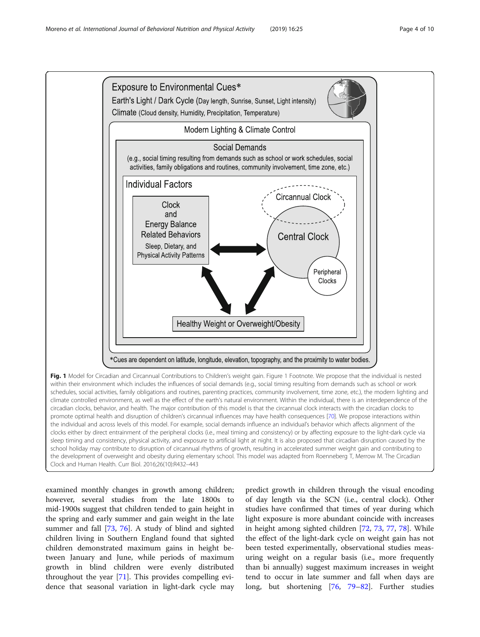<span id="page-3-0"></span>

examined monthly changes in growth among children; however, several studies from the late 1800s to mid-1900s suggest that children tended to gain height in the spring and early summer and gain weight in the late summer and fall [[73,](#page-8-0) [76\]](#page-8-0). A study of blind and sighted children living in Southern England found that sighted children demonstrated maximum gains in height between January and June, while periods of maximum growth in blind children were evenly distributed throughout the year [\[71](#page-8-0)]. This provides compelling evidence that seasonal variation in light-dark cycle may

predict growth in children through the visual encoding of day length via the SCN (i.e., central clock). Other studies have confirmed that times of year during which light exposure is more abundant coincide with increases in height among sighted children [\[72,](#page-8-0) [73](#page-8-0), [77,](#page-8-0) [78](#page-8-0)]. While the effect of the light-dark cycle on weight gain has not been tested experimentally, observational studies measuring weight on a regular basis (i.e., more frequently than bi annually) suggest maximum increases in weight tend to occur in late summer and fall when days are long, but shortening [\[76,](#page-8-0) [79](#page-8-0)–[82](#page-8-0)]. Further studies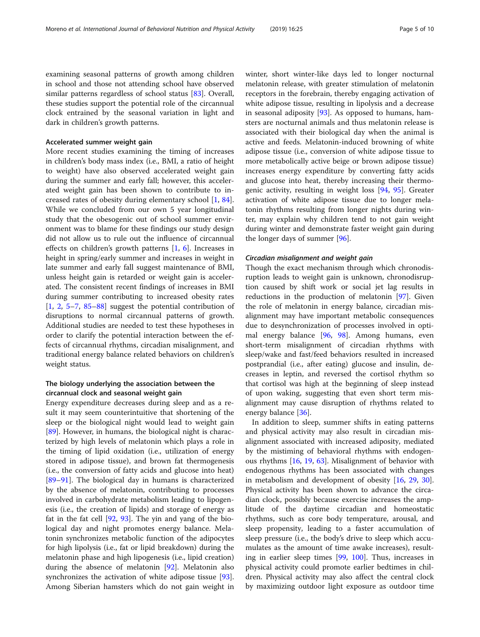examining seasonal patterns of growth among children in school and those not attending school have observed similar patterns regardless of school status [\[83\]](#page-8-0). Overall, these studies support the potential role of the circannual clock entrained by the seasonal variation in light and dark in children's growth patterns.

# Accelerated summer weight gain

More recent studies examining the timing of increases in children's body mass index (i.e., BMI, a ratio of height to weight) have also observed accelerated weight gain during the summer and early fall; however, this accelerated weight gain has been shown to contribute to increased rates of obesity during elementary school [\[1](#page-7-0), [84](#page-8-0)]. While we concluded from our own 5 year longitudinal study that the obesogenic out of school summer environment was to blame for these findings our study design did not allow us to rule out the influence of circannual effects on children's growth patterns [\[1](#page-7-0), [6\]](#page-7-0). Increases in height in spring/early summer and increases in weight in late summer and early fall suggest maintenance of BMI, unless height gain is retarded or weight gain is accelerated. The consistent recent findings of increases in BMI during summer contributing to increased obesity rates [[1,](#page-7-0) [2,](#page-7-0) [5](#page-7-0)–[7,](#page-7-0) [85](#page-8-0)–[88](#page-8-0)] suggest the potential contribution of disruptions to normal circannual patterns of growth. Additional studies are needed to test these hypotheses in order to clarify the potential interaction between the effects of circannual rhythms, circadian misalignment, and traditional energy balance related behaviors on children's weight status.

# The biology underlying the association between the circannual clock and seasonal weight gain

Energy expenditure decreases during sleep and as a result it may seem counterintuitive that shortening of the sleep or the biological night would lead to weight gain [[89\]](#page-8-0). However, in humans, the biological night is characterized by high levels of melatonin which plays a role in the timing of lipid oxidation (i.e., utilization of energy stored in adipose tissue), and brown fat thermogenesis (i.e., the conversion of fatty acids and glucose into heat) [[89](#page-8-0)–[91](#page-8-0)]. The biological day in humans is characterized by the absence of melatonin, contributing to processes involved in carbohydrate metabolism leading to lipogenesis (i.e., the creation of lipids) and storage of energy as fat in the fat cell [\[92,](#page-8-0) [93\]](#page-8-0). The yin and yang of the biological day and night promotes energy balance. Melatonin synchronizes metabolic function of the adipocytes for high lipolysis (i.e., fat or lipid breakdown) during the melatonin phase and high lipogenesis (i.e., lipid creation) during the absence of melatonin [[92\]](#page-8-0). Melatonin also synchronizes the activation of white adipose tissue [\[93](#page-8-0)]. Among Siberian hamsters which do not gain weight in

winter, short winter-like days led to longer nocturnal melatonin release, with greater stimulation of melatonin receptors in the forebrain, thereby engaging activation of white adipose tissue, resulting in lipolysis and a decrease in seasonal adiposity [[93](#page-8-0)]. As opposed to humans, hamsters are nocturnal animals and thus melatonin release is associated with their biological day when the animal is active and feeds. Melatonin-induced browning of white adipose tissue (i.e., conversion of white adipose tissue to more metabolically active beige or brown adipose tissue) increases energy expenditure by converting fatty acids and glucose into heat, thereby increasing their thermogenic activity, resulting in weight loss [[94,](#page-8-0) [95](#page-8-0)]. Greater activation of white adipose tissue due to longer melatonin rhythms resulting from longer nights during winter, may explain why children tend to not gain weight during winter and demonstrate faster weight gain during the longer days of summer [[96](#page-8-0)].

#### Circadian misalignment and weight gain

Though the exact mechanism through which chronodisruption leads to weight gain is unknown, chronodisruption caused by shift work or social jet lag results in reductions in the production of melatonin [[97](#page-8-0)]. Given the role of melatonin in energy balance, circadian misalignment may have important metabolic consequences due to desynchronization of processes involved in optimal energy balance [[96,](#page-8-0) [98](#page-8-0)]. Among humans, even short-term misalignment of circadian rhythms with sleep/wake and fast/feed behaviors resulted in increased postprandial (i.e., after eating) glucose and insulin, decreases in leptin, and reversed the cortisol rhythm so that cortisol was high at the beginning of sleep instead of upon waking, suggesting that even short term misalignment may cause disruption of rhythms related to energy balance [\[36](#page-7-0)].

In addition to sleep, summer shifts in eating patterns and physical activity may also result in circadian misalignment associated with increased adiposity, mediated by the mistiming of behavioral rhythms with endogenous rhythms [\[16](#page-7-0), [19,](#page-7-0) [63\]](#page-8-0). Misalignment of behavior with endogenous rhythms has been associated with changes in metabolism and development of obesity [[16](#page-7-0), [29](#page-7-0), [30](#page-7-0)]. Physical activity has been shown to advance the circadian clock, possibly because exercise increases the amplitude of the daytime circadian and homeostatic rhythms, such as core body temperature, arousal, and sleep propensity, leading to a faster accumulation of sleep pressure (i.e., the body's drive to sleep which accumulates as the amount of time awake increases), resulting in earlier sleep times [[99,](#page-8-0) [100](#page-9-0)]. Thus, increases in physical activity could promote earlier bedtimes in children. Physical activity may also affect the central clock by maximizing outdoor light exposure as outdoor time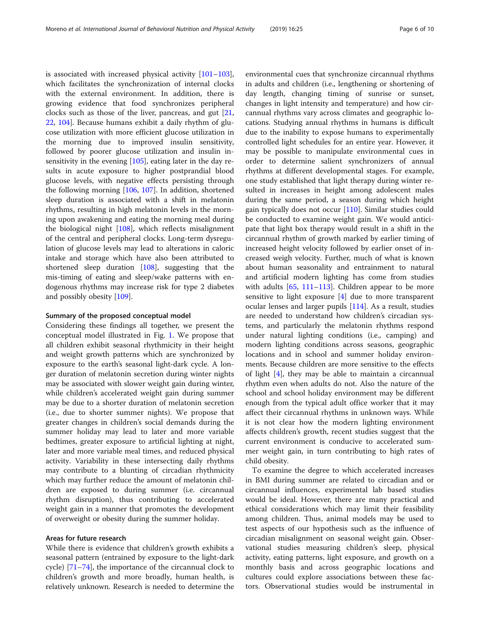is associated with increased physical activity [[101](#page-9-0)–[103](#page-9-0)], which facilitates the synchronization of internal clocks with the external environment. In addition, there is growing evidence that food synchronizes peripheral clocks such as those of the liver, pancreas, and gut [[21](#page-7-0), [22,](#page-7-0) [104\]](#page-9-0). Because humans exhibit a daily rhythm of glucose utilization with more efficient glucose utilization in the morning due to improved insulin sensitivity, followed by poorer glucose utilization and insulin insensitivity in the evening [[105\]](#page-9-0), eating later in the day results in acute exposure to higher postprandial blood glucose levels, with negative effects persisting through the following morning [\[106](#page-9-0), [107](#page-9-0)]. In addition, shortened sleep duration is associated with a shift in melatonin rhythms, resulting in high melatonin levels in the morning upon awakening and eating the morning meal during the biological night [\[108\]](#page-9-0), which reflects misalignment of the central and peripheral clocks. Long-term dysregulation of glucose levels may lead to alterations in caloric intake and storage which have also been attributed to shortened sleep duration [\[108](#page-9-0)], suggesting that the mis-timing of eating and sleep/wake patterns with endogenous rhythms may increase risk for type 2 diabetes and possibly obesity [[109](#page-9-0)].

## Summary of the proposed conceptual model

Considering these findings all together, we present the conceptual model illustrated in Fig. [1.](#page-3-0) We propose that all children exhibit seasonal rhythmicity in their height and weight growth patterns which are synchronized by exposure to the earth's seasonal light-dark cycle. A longer duration of melatonin secretion during winter nights may be associated with slower weight gain during winter, while children's accelerated weight gain during summer may be due to a shorter duration of melatonin secretion (i.e., due to shorter summer nights). We propose that greater changes in children's social demands during the summer holiday may lead to later and more variable bedtimes, greater exposure to artificial lighting at night, later and more variable meal times, and reduced physical activity. Variability in these intersecting daily rhythms may contribute to a blunting of circadian rhythmicity which may further reduce the amount of melatonin children are exposed to during summer (i.e. circannual rhythm disruption), thus contributing to accelerated weight gain in a manner that promotes the development of overweight or obesity during the summer holiday.

# Areas for future research

While there is evidence that children's growth exhibits a seasonal pattern (entrained by exposure to the light-dark cycle) [\[71](#page-8-0)–[74\]](#page-8-0), the importance of the circannual clock to children's growth and more broadly, human health, is relatively unknown. Research is needed to determine the environmental cues that synchronize circannual rhythms in adults and children (i.e., lengthening or shortening of day length, changing timing of sunrise or sunset, changes in light intensity and temperature) and how circannual rhythms vary across climates and geographic locations. Studying annual rhythms in humans is difficult due to the inability to expose humans to experimentally controlled light schedules for an entire year. However, it may be possible to manipulate environmental cues in order to determine salient synchronizers of annual rhythms at different developmental stages. For example, one study established that light therapy during winter resulted in increases in height among adolescent males during the same period, a season during which height gain typically does not occur [\[110](#page-9-0)]. Similar studies could be conducted to examine weight gain. We would anticipate that light box therapy would result in a shift in the circannual rhythm of growth marked by earlier timing of increased height velocity followed by earlier onset of increased weigh velocity. Further, much of what is known about human seasonality and entrainment to natural and artificial modern lighting has come from studies with adults  $[65, 111-113]$  $[65, 111-113]$  $[65, 111-113]$  $[65, 111-113]$  $[65, 111-113]$  $[65, 111-113]$  $[65, 111-113]$ . Children appear to be more sensitive to light exposure [\[4](#page-7-0)] due to more transparent ocular lenses and larger pupils [[114\]](#page-9-0). As a result, studies are needed to understand how children's circadian systems, and particularly the melatonin rhythms respond under natural lighting conditions (i.e., camping) and modern lighting conditions across seasons, geographic locations and in school and summer holiday environments. Because children are more sensitive to the effects of light [[4\]](#page-7-0), they may be able to maintain a circannual rhythm even when adults do not. Also the nature of the school and school holiday environment may be different enough from the typical adult office worker that it may affect their circannual rhythms in unknown ways. While it is not clear how the modern lighting environment affects children's growth, recent studies suggest that the current environment is conducive to accelerated summer weight gain, in turn contributing to high rates of child obesity.

To examine the degree to which accelerated increases in BMI during summer are related to circadian and or circannual influences, experimental lab based studies would be ideal. However, there are many practical and ethical considerations which may limit their feasibility among children. Thus, animal models may be used to test aspects of our hypothesis such as the influence of circadian misalignment on seasonal weight gain. Observational studies measuring children's sleep, physical activity, eating patterns, light exposure, and growth on a monthly basis and across geographic locations and cultures could explore associations between these factors. Observational studies would be instrumental in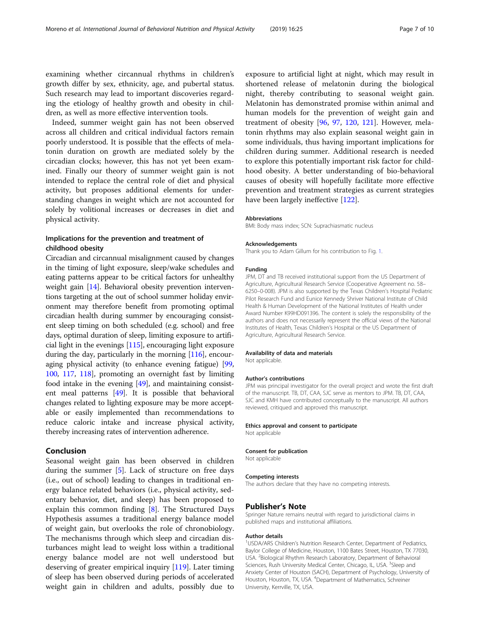examining whether circannual rhythms in children's growth differ by sex, ethnicity, age, and pubertal status. Such research may lead to important discoveries regarding the etiology of healthy growth and obesity in children, as well as more effective intervention tools.

Indeed, summer weight gain has not been observed across all children and critical individual factors remain poorly understood. It is possible that the effects of melatonin duration on growth are mediated solely by the circadian clocks; however, this has not yet been examined. Finally our theory of summer weight gain is not intended to replace the central role of diet and physical activity, but proposes additional elements for understanding changes in weight which are not accounted for solely by volitional increases or decreases in diet and physical activity.

# Implications for the prevention and treatment of childhood obesity

Circadian and circannual misalignment caused by changes in the timing of light exposure, sleep/wake schedules and eating patterns appear to be critical factors for unhealthy weight gain [[14](#page-7-0)]. Behavioral obesity prevention interventions targeting at the out of school summer holiday environment may therefore benefit from promoting optimal circadian health during summer by encouraging consistent sleep timing on both scheduled (e.g. school) and free days, optimal duration of sleep, limiting exposure to artificial light in the evenings [[115](#page-9-0)], encouraging light exposure during the day, particularly in the morning [[116](#page-9-0)], encouraging physical activity (to enhance evening fatigue) [[99](#page-8-0), [100](#page-9-0), [117](#page-9-0), [118](#page-9-0)], promoting an overnight fast by limiting food intake in the evening [\[49](#page-7-0)], and maintaining consistent meal patterns [\[49\]](#page-7-0). It is possible that behavioral changes related to lighting exposure may be more acceptable or easily implemented than recommendations to reduce caloric intake and increase physical activity, thereby increasing rates of intervention adherence.

# Conclusion

Seasonal weight gain has been observed in children during the summer  $[5]$  $[5]$ . Lack of structure on free days (i.e., out of school) leading to changes in traditional energy balance related behaviors (i.e., physical activity, sedentary behavior, diet, and sleep) has been proposed to explain this common finding [\[8](#page-7-0)]. The Structured Days Hypothesis assumes a traditional energy balance model of weight gain, but overlooks the role of chronobiology. The mechanisms through which sleep and circadian disturbances might lead to weight loss within a traditional energy balance model are not well understood but deserving of greater empirical inquiry [[119](#page-9-0)]. Later timing of sleep has been observed during periods of accelerated weight gain in children and adults, possibly due to

exposure to artificial light at night, which may result in shortened release of melatonin during the biological night, thereby contributing to seasonal weight gain. Melatonin has demonstrated promise within animal and human models for the prevention of weight gain and treatment of obesity  $[96, 97, 120, 121]$  $[96, 97, 120, 121]$  $[96, 97, 120, 121]$  $[96, 97, 120, 121]$  $[96, 97, 120, 121]$  $[96, 97, 120, 121]$  $[96, 97, 120, 121]$  $[96, 97, 120, 121]$ . However, melatonin rhythms may also explain seasonal weight gain in some individuals, thus having important implications for children during summer. Additional research is needed to explore this potentially important risk factor for childhood obesity. A better understanding of bio-behavioral causes of obesity will hopefully facilitate more effective prevention and treatment strategies as current strategies have been largely ineffective [[122\]](#page-9-0).

#### Abbreviations

BMI: Body mass index; SCN: Suprachiasmatic nucleus

#### Acknowledgements

Thank you to Adam Gillum for his contribution to Fig. [1](#page-3-0).

# Funding

JPM, DT and TB received institutional support from the US Department of Agriculture, Agricultural Research Service (Cooperative Agreement no. 58– 6250–0-008). JPM is also supported by the Texas Children's Hospital Pediatric Pilot Research Fund and Eunice Kennedy Shriver National Institute of Child Health & Human Development of the National Institutes of Health under Award Number K99HD091396. The content is solely the responsibility of the authors and does not necessarily represent the official views of the National Institutes of Health, Texas Children's Hospital or the US Department of Agriculture, Agricultural Research Service.

#### Availability of data and materials

Not applicable.

#### Author's contributions

JPM was principal investigator for the overall project and wrote the first draft of the manuscript. TB, DT, CAA, SJC serve as mentors to JPM. TB, DT, CAA, SJC and KMH have contributed conceptually to the manuscript. All authors reviewed, critiqued and approved this manuscript.

#### Ethics approval and consent to participate Not applicable

# Consent for publication

Not applicable

#### Competing interests

The authors declare that they have no competing interests.

### Publisher's Note

Springer Nature remains neutral with regard to jurisdictional claims in published maps and institutional affiliations.

#### Author details

<sup>1</sup>USDA/ARS Children's Nutrition Research Center, Department of Pediatrics, Baylor College of Medicine, Houston, 1100 Bates Street, Houston, TX 77030, USA. <sup>2</sup> Biological Rhythm Research Laboratory, Department of Behavioral Sciences, Rush University Medical Center, Chicago, IL, USA. <sup>3</sup>Sleep and Anxiety Center of Houston (SACH), Department of Psychology, University of Houston, Houston, TX, USA. <sup>4</sup>Department of Mathematics, Schreiner University, Kerrville, TX, USA.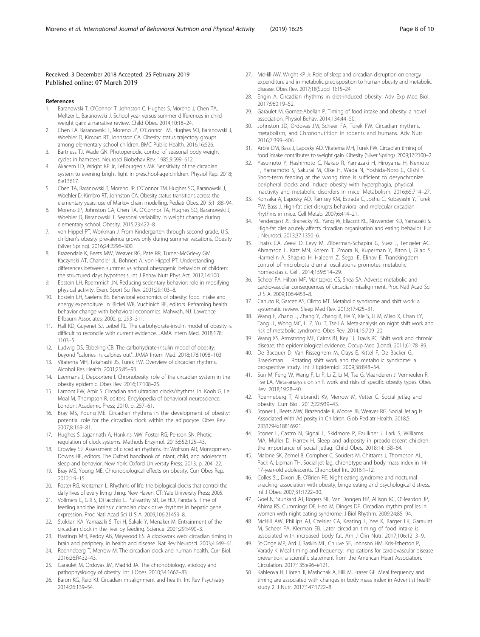### <span id="page-7-0"></span>Received: 3 December 2018 Accepted: 25 February 2019 Published online: 07 March 2019

#### References

- 1. Baranowski T, O'Connor T, Johnston C, Hughes S, Moreno J, Chen TA, Meltzer L, Baranowski J. School year versus summer differences in child weight gain: a narrative review. Child Obes. 2014;10:18–24.
- 2. Chen TA, Baranowski T, Moreno JP, O'Connor TM, Hughes SO, Baranowski J, Woehler D, Kimbro RT, Johnston CA. Obesity status trajectory groups among elementary school children. BMC Public Health. 2016;16:526.
- 3. Bartness TJ, Wade GN. Photoperiodic control of seasonal body weight cycles in hamsters. Neurosci Biobehav Rev. 1985;9:599–612.
- 4. Akacem LD, Wright KP Jr, LeBourgeois MK. Sensitivity of the circadian system to evening bright light in preschool-age children. Physiol Rep. 2018; 6:e13617.
- 5. Chen TA, Baranowski T, Moreno JP, O'Connor TM, Hughes SO, Baranowski J, Woehler D, Kimbro RT, Johnston CA. Obesity status transitions across the elementary years: use of Markov chain modelling. Pediatr Obes. 2015;11:88–94.
- Moreno JP, Johnston CA, Chen TA, O'Connor TA, Hughes SO, Baranowski J, Woehler D, Baranowski T. Seasonal variability in weight change during elementary school. Obesity. 2015;23:422–8.
- 7. von Hippel PT, Workman J. From Kindergarten through second grade, U.S. children's obesity prevalence grows only during summer vacations. Obesity (Silver Spring). 2016;24:2296–300.
- 8. Brazendale K, Beets MW, Weaver RG, Pate RR, Turner-McGrievy GM, Kaczynski AT, Chandler JL, Bohnert A, von Hippel PT. Understanding differences between summer vs school obesogenic behaviors of children: the structured days hypothesis. Int J Behav Nutr Phys Act. 2017;14:100.
- 9. Epstein LH, Roemmich JN. Reducing sedentary behavior: role in modifying physical activity. Exerc Sport Sci Rev. 2001;29:103–8.
- 10. Epstein LH, Saelens BE. Behavioral economics of obesity: food intake and energy expenditure. In: Bickel WK, Vuchinich RE, editors. Reframing health behavior change with behavioral economics. Mahwah, NJ: Lawrence Erlbaum Associates; 2000. p. 293–311.
- 11. Hall KD, Guyenet SJ, Leibel RL. The carbohydrate-insulin model of obesity is difficult to reconcile with current evidence. JAMA Intern Med. 2018;178: 1103–5.
- 12. Ludwig DS, Ebbeling CB. The carbohydrate-insulin model of obesity: beyond "calories in, calories out". JAMA Intern Med. 2018;178:1098–103.
- 13. Vitaterna MH, Takahashi JS, Turek FW. Overview of circadian rhythms. Alcohol Res Health. 2001;25:85–93.
- 14. Laermans J, Depoortere I. Chronobesity: role of the circadian system in the obesity epidemic. Obes Rev. 2016;17:108–25.
- 15. Lamont EW, Amir S. Circadian and ultradian clocks/rhythms. In: Koob G, Le Moal M, Thompson R, editors. Encylopedia of behavioral neuroscience. London: Academic Press; 2010. p. 257–61.
- 16. Bray MS, Young ME. Circadian rhythms in the development of obesity: potential role for the circadian clock within the adipocyte. Obes Rev. 2007;8:169–81.
- 17. Hughes S, Jagannath A, Hankins MW, Foster RG, Peirson SN. Photic regulation of clock systems. Methods Enzymol. 2015;552:125–43.
- 18. Crowley SJ. Assessment of circadian rhythms. In: Wolfson AR, Montgomery-Downs HE, editors. The Oxford handbook of infant, child, and adolescent sleep and behavior. New York: Oxford University Press; 2013. p. 204–22.
- 19. Bray MS, Young ME. Chronobiological effects on obesity. Curr Obes Rep. 2012;1:9–15.
- 20. Foster RG, Kreitzman L. Rhythms of life: the biological clocks that control the daily lives of every living thing. New Haven, CT: Yale University Press; 2005.
- 21. Vollmers C, Gill S, DiTacchio L, Pulivarthy SR, Le HD, Panda S. Time of feeding and the intrinsic circadian clock drive rhythms in hepatic gene expression. Proc Natl Acad Sci U S A. 2009;106:21453–8.
- 22. Stokkan KA, Yamazaki S, Tei H, Sakaki Y, Menaker M. Entrainment of the circadian clock in the liver by feeding. Science. 2001;291:490–3.
- 23. Hastings MH, Reddy AB, Maywood ES. A clockwork web: circadian timing in brain and periphery, in health and disease. Nat Rev Neurosci. 2003;4:649–61.
- 24. Roenneberg T, Merrow M. The circadian clock and human health. Curr Biol. 2016;26:R432–43.
- 25. Garaulet M, Ordovas JM, Madrid JA. The chronobiology, etiology and pathophysiology of obesity. Int J Obes. 2010;34:1667–83.
- 26. Baron KG, Reid KJ. Circadian misalignment and health. Int Rev Psychiatry. 2014;26:139–54.
- 27. McHill AW, Wright KP Jr. Role of sleep and circadian disruption on energy expenditure and in metabolic predisposition to human obesity and metabolic disease. Obes Rev. 2017;18(Suppl 1):15–24.
- 28. Engin A. Circadian rhythms in diet-induced obesity. Adv Exp Med Biol. 2017;960:19–52.
- 29. Garaulet M, Gomez-Abellan P. Timing of food intake and obesity: a novel association. Physiol Behav. 2014;134:44–50.
- 30. Johnston JD, Ordovas JM, Scheer FA, Turek FW. Circadian rhythms, metabolism, and Chrononutrition in rodents and humans. Adv Nutr. 2016;7:399–406.
- 31. Arble DM, Bass J, Laposky AD, Vitaterna MH, Turek FW. Circadian timing of food intake contributes to weight gain. Obesity (Silver Spring). 2009;17:2100–2.
- 32. Yasumoto Y, Hashimoto C, Nakao R, Yamazaki H, Hiroyama H, Nemoto T, Yamamoto S, Sakurai M, Oike H, Wada N, Yoshida-Noro C, Oishi K. Short-term feeding at the wrong time is sufficient to desynchronize peripheral clocks and induce obesity with hyperphagia, physical inactivity and metabolic disorders in mice. Metabolism. 2016;65:714–27.
- 33. Kohsaka A, Laposky AD, Ramsey KM, Estrada C, Joshu C, Kobayashi Y, Turek FW, Bass J. High-fat diet disrupts behavioral and molecular circadian rhythms in mice. Cell Metab. 2007;6:414–21.
- 34. Pendergast JS, Branecky KL, Yang W, Ellacott KL, Niswender KD, Yamazaki S. High-fat diet acutely affects circadian organisation and eating behavior. Eur J Neurosci. 2013;37:1350–6.
- 35. Thaiss CA, Zeevi D, Levy M, Zilberman-Schapira G, Suez J, Tengeler AC, Abramson L, Katz MN, Korem T, Zmora N, Kuperman Y, Biton I, Gilad S, Harmelin A, Shapiro H, Halpern Z, Segal E, Elinav E. Transkingdom control of microbiota diurnal oscillations promotes metabolic homeostasis. Cell. 2014;159:514–29.
- 36. Scheer FA, Hilton MF, Mantzoros CS, Shea SA. Adverse metabolic and cardiovascular consequences of circadian misalignment. Proc Natl Acad Sci U S A. 2009;106:4453–8.
- 37. Canuto R, Garcez AS, Olinto MT. Metabolic syndrome and shift work: a systematic review. Sleep Med Rev. 2013;17:425–31.
- Wang F, Zhang L, Zhang Y, Zhang B, He Y, Xie S, Li M, Miao X, Chan EY, Tang JL, Wong MC, Li Z, Yu IT, Tse LA. Meta-analysis on night shift work and risk of metabolic syndrome. Obes Rev. 2014;15:709–20.
- 39. Wang XS, Armstrong ME, Cairns BJ, Key TJ, Travis RC. Shift work and chronic disease: the epidemiological evidence. Occup Med (Lond). 2011;61:78–89.
- 40. De Bacquer D, Van Risseghem M, Clays E, Kittel F, De Backer G, Braeckman L. Rotating shift work and the metabolic syndrome: a prospective study. Int J Epidemiol. 2009;38:848–54.
- 41. Sun M, Feng W, Wang F, Li P, Li Z, Li M, Tse G, Vlaanderen J, Vermeulen R, Tse LA. Meta-analysis on shift work and risks of specific obesity types. Obes Rev. 2018;19:28–40.
- 42. Roenneberg T, Allebrandt KV, Merrow M, Vetter C. Social jetlag and obesity. Curr Biol. 2012;22:939–43.
- 43. Stoner L, Beets MW, Brazendale K, Moore JB, Weaver RG. Social Jetlag Is Associated With Adiposity in Children. Glob Pediatr Health. 2018;5: 2333794x18816921.
- 44. Stoner L, Castro N, Signal L, Skidmore P, Faulkner J, Lark S, Williams MA, Muller D, Harrex H. Sleep and adiposity in preadolescent children: the importance of social jetlag. Child Obes. 2018;14:158–64.
- 45. Malone SK, Zemel B, Compher C, Souders M, Chittams J, Thompson AL, Pack A, Lipman TH. Social jet lag, chronotype and body mass index in 14- 17-year-old adolescents. Chronobiol Int. 2016:1–12.
- 46. Colles SL, Dixon JB, O'Brien PE. Night eating syndrome and nocturnal snacking: association with obesity, binge eating and psychological distress. Int J Obes. 2007;31:1722–30.
- 47. Goel N, Stunkard AJ, Rogers NL, Van Dongen HP, Allison KC, O'Reardon JP, Ahima RS, Cummings DE, Heo M, Dinges DF. Circadian rhythm profiles in women with night eating syndrome. J Biol Rhythm. 2009;24:85–94.
- 48. McHill AW, Phillips AJ, Czeisler CA, Keating L, Yee K, Barger LK, Garaulet M, Scheer FA, Klerman EB. Later circadian timing of food intake is associated with increased body fat. Am J Clin Nutr. 2017;106:1213–9.
- 49. St-Onge MP, Ard J, Baskin ML, Chiuve SE, Johnson HM, Kris-Etherton P, Varady K. Meal timing and frequency: implications for cardiovascular disease prevention: a scientific statement from the American Heart Association. Circulation. 2017;135:e96–e121.
- 50. Kahleova H, Lloren JI, Mashchak A, Hill M, Fraser GE. Meal frequency and timing are associated with changes in body mass index in Adventist health study 2. J Nutr. 2017;147:1722–8.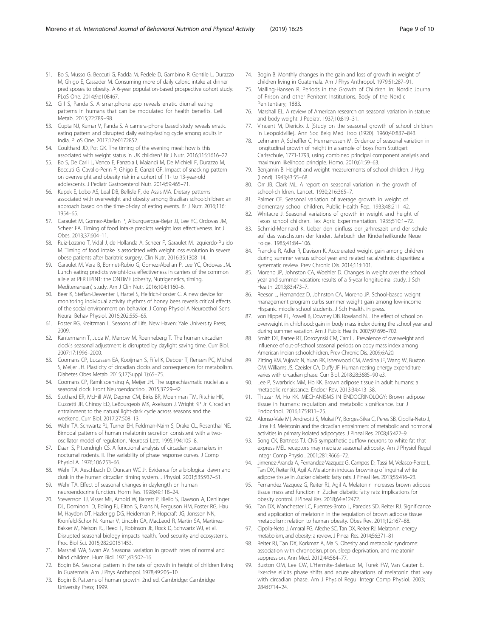- <span id="page-8-0"></span>51. Bo S, Musso G, Beccuti G, Fadda M, Fedele D, Gambino R, Gentile L, Durazzo M, Ghigo E, Cassader M. Consuming more of daily caloric intake at dinner predisposes to obesity. A 6-year population-based prospective cohort study. PLoS One. 2014;9:e108467.
- 52. Gill S, Panda S. A smartphone app reveals erratic diurnal eating patterns in humans that can be modulated for health benefits. Cell Metab. 2015;22:789–98.
- 53. Gupta NJ, Kumar V, Panda S. A camera-phone based study reveals erratic eating pattern and disrupted daily eating-fasting cycle among adults in India. PLoS One. 2017;12:e0172852.
- 54. Coulthard JD, Pot GK. The timing of the evening meal: how is this associated with weight status in UK children? Br J Nutr. 2016;115:1616–22.
- 55. Bo S, De Carli L, Venco E, Fanzola I, Maiandi M, De Michieli F, Durazzo M, Beccuti G, Cavallo-Perin P, Ghigo E, Ganzit GP. Impact of snacking pattern on overweight and obesity risk in a cohort of 11- to 13-year-old adolescents. J Pediatr Gastroenterol Nutr. 2014;59:465–71.
- 56. Kupek E, Lobo AS, Leal DB, Bellisle F, de Assis MA. Dietary patterns associated with overweight and obesity among Brazilian schoolchildren: an approach based on the time-of-day of eating events. Br J Nutr. 2016;116: 1954–65.
- 57. Garaulet M, Gomez-Abellan P, Alburquerque-Bejar JJ, Lee YC, Ordovas JM, Scheer FA. Timing of food intake predicts weight loss effectiveness. Int J Obes. 2013;37:604–11.
- 58. Ruiz-Lozano T, Vidal J, de Hollanda A, Scheer F, Garaulet M, Izquierdo-Pulido M. Timing of food intake is associated with weight loss evolution in severe obese patients after bariatric surgery. Clin Nutr. 2016;35:1308–14.
- 59. Garaulet M, Vera B, Bonnet-Rubio G, Gomez-Abellan P, Lee YC, Ordovas JM. Lunch eating predicts weight-loss effectiveness in carriers of the common allele at PERILIPIN1: the ONTIME (obesity, Nutrigenetics, timing, Mediterranean) study. Am J Clin Nutr. 2016;104:1160–6.
- 60. Beer K, Steffan-Dewenter I, Hartel S, Helfrich-Forster C. A new device for monitoring individual activity rhythms of honey bees reveals critical effects of the social environment on behavior. J Comp Physiol A Neuroethol Sens Neural Behav Physiol. 2016;202:555–65.
- 61. Foster RG, Kreitzman L. Seasons of Life. New Haven: Yale University Press; 2009.
- 62. Kantermann T, Juda M, Merrow M, Roenneberg T. The human circadian clock's seasonal adjustment is disrupted by daylight saving time. Curr Biol. 2007;17:1996–2000.
- 63. Coomans CP, Lucassen EA, Kooijman S, Fifel K, Deboer T, Rensen PC, Michel S, Meijer JH. Plasticity of circadian clocks and consequences for metabolism. Diabetes Obes Metab. 2015;17(Suppl 1):65–75.
- 64. Coomans CP, Ramkisoensing A, Meijer JH. The suprachiasmatic nuclei as a seasonal clock. Front Neuroendocrinol. 2015;37:29–42.
- 65. Stothard ER, McHill AW, Depner CM, Birks BR, Moehlman TM, Ritchie HK, Guzzetti JR, Chinoy ED, LeBourgeois MK, Axelsson J, Wright KP Jr. Circadian entrainment to the natural light-dark cycle across seasons and the weekend. Curr Biol. 2017;27:508–13.
- 66. Wehr TA, Schwartz PJ, Turner EH, Feldman-Naim S, Drake CL, Rosenthal NE. Bimodal patterns of human melatonin secretion consistent with a twooscillator model of regulation. Neurosci Lett. 1995;194:105–8.
- 67. Daan S, Pittendrigh CS. A functional analysis of circadian pacemakers in nocturnal rodents. II. The variability of phase response curves. J Comp Physiol A. 1976;106:253–66.
- 68. Wehr TA, Aeschbach D, Duncan WC Jr. Evidence for a biological dawn and dusk in the human circadian timing system. J Physiol. 2001;535:937–51.
- 69. Wehr TA. Effect of seasonal changes in daylength on human neuroendocrine function. Horm Res. 1998;49:118–24.
- 70. Stevenson TJ, Visser ME, Arnold W, Barrett P, Biello S, Dawson A, Denlinger DL, Dominoni D, Ebling FJ, Elton S, Evans N, Ferguson HM, Foster RG, Hau M, Haydon DT, Hazlerigg DG, Heideman P, Hopcraft JG, Jonsson NN, Kronfeld-Schor N, Kumar V, Lincoln GA, MacLeod R, Martin SA, Martinez-Bakker M, Nelson RJ, Reed T, Robinson JE, Rock D, Schwartz WJ, et al. Disrupted seasonal biology impacts health, food security and ecosystems. Proc Biol Sci. 2015;282:20151453.
- 71. Marshall WA, Swan AV. Seasonal variation in growth rates of normal and blind children. Hum Biol. 1971;43:502–16.
- 72. Bogin BA. Seasonal pattern in the rate of growth in height of children living in Guatemala. Am J Phys Anthropol. 1978;49:205–10.
- 73. Bogin B. Patterns of human growth. 2nd ed. Cambridge: Cambridge University Press; 1999.
- 74. Bogin B. Monthly changes in the gain and loss of growth in weight of children living in Guatemala. Am J Phys Anthropol. 1979;51:287–91.
- 75. Malling-Hansen R. Periods in the Growth of Children. In: Nordic Journal of Prison and other Penitent Institutions, Body of the Nordic Penitentiary; 1883.
- 76. Marshall EL. A review of American research on seasonal variation in stature and body weight. J Pediatr. 1937;10:819–31.
- 77. Vincent M, Dierickx J. [Study on the seasonal growth of school children in Leopoldville]. Ann Soc Belg Med Trop (1920). 1960;40:837–843.
- 78. Lehmann A, Scheffler C, Hermanussen M. Evidence of seasonal variation in longitudinal growth of height in a sample of boys from Stuttgart Carlsschule, 1771-1793, using combined principal component analysis and maximum likelihood principle. Homo. 2010;61:59–63.
- 79. Benjamin B. Height and weight measurements of school children. J Hyg (Lond). 1943;43:55–68.
- Orr JB, Clark ML. A report on seasonal variation in the growth of school-children. Lancet. 1930;216:365–7.
- 81. Palmer CE. Seasonal variation of average growth in weight of elementary school children. Public Health Rep. 1933;48:211–42.
- 82. Whitacre J. Seasonal variations of growth in weight and height of Texas school children. Tex Agric Experimentation. 1935;510:1–72.
- Schmid-Monnard K. Ueber den einfluss der jarhreszeit und der schule auf das waschstum der kinder. Jahrbuch der Kinderheilkunde Neue Folge. 1985;41:84–106.
- 84. Franckle R, Adler R, Davison K. Accelerated weight gain among children during summer versus school year and related racial/ethnic disparities: a systematic review. Prev Chronic Dis. 2014;11:E101.
- 85. Moreno JP, Johnston CA, Woehler D. Changes in weight over the school year and summer vacation: results of a 5-year longitudinal study. J Sch Health. 2013;83:473–7.
- 86. Reesor L, Hernandez D, Johnston CA, Moreno JP. School-based weight management program curbs summer weight gain among low-income Hispanic middle school students. J Sch Health. in press.
- 87. von Hippel PT, Powell B, Downey DB, Rowland NJ. The effect of school on overweight in childhood: gain in body mass index during the school year and during summer vacation. Am J Public Health. 2007;97:696–702.
- 88. Smith DT, Bartee RT, Dorozynski CM, Carr LJ. Prevalence of overweight and influence of out-of-school seasonal periods on body mass index among American Indian schoolchildren. Prev Chronic Dis. 2009;6:A20.
- Zitting KM, Vujovic N, Yuan RK, Isherwood CM, Medina JE, Wang W, Buxton OM, Williams JS, Czeisler CA, Duffy JF. Human resting energy expenditure varies with circadian phase. Curr Biol. 2018;28:3685–90 e3.
- 90. Lee P, Swarbrick MM, Ho KK. Brown adipose tissue in adult humans: a metabolic renaissance. Endocr Rev. 2013;34:413–38.
- 91. Thuzar M, Ho KK. MECHANISMS IN ENDOCRINOLOGY: Brown adipose tissue in humans: regulation and metabolic significance. Eur J Endocrinol. 2016;175:R11–25.
- 92. Alonso-Vale MI, Andreotti S, Mukai PY, Borges-Silva C, Peres SB, Cipolla-Neto J, Lima FB. Melatonin and the circadian entrainment of metabolic and hormonal activities in primary isolated adipocytes. J Pineal Res. 2008;45:422–9.
- 93. Song CK, Bartness TJ. CNS sympathetic outflow neurons to white fat that express MEL receptors may mediate seasonal adiposity. Am J Physiol Regul Integr Comp Physiol. 2001;281:R666–72.
- 94. Jimenez-Aranda A, Fernandez-Vazquez G, Campos D, Tassi M, Velasco-Perez L, Tan DX, Reiter RJ, Agil A. Melatonin induces browning of inguinal white adipose tissue in Zucker diabetic fatty rats. J Pineal Res. 2013;55:416–23.
- 95. Fernandez Vazquez G, Reiter RJ, Agil A. Melatonin increases brown adipose tissue mass and function in Zucker diabetic fatty rats: implications for obesity control. J Pineal Res. 2018;64:e12472.
- 96. Tan DX, Manchester LC, Fuentes-Broto L, Paredes SD, Reiter RJ. Significance and application of melatonin in the regulation of brown adipose tissue metabolism: relation to human obesity. Obes Rev. 2011;12:167–88.
- 97. Cipolla-Neto J, Amaral FG, Afeche SC, Tan DX, Reiter RJ. Melatonin, energy metabolism, and obesity: a review. J Pineal Res. 2014;56:371–81.
- Reiter RJ, Tan DX, Korkmaz A, Ma S. Obesity and metabolic syndrome: association with chronodisruption, sleep deprivation, and melatonin suppression. Ann Med. 2012;44:564–77.
- 99. Buxton OM, Lee CW, L'Hermite-Baleriaux M, Turek FW, Van Cauter E. Exercise elicits phase shifts and acute alterations of melatonin that vary with circadian phase. Am J Physiol Regul Integr Comp Physiol. 2003; 284:R714–24.